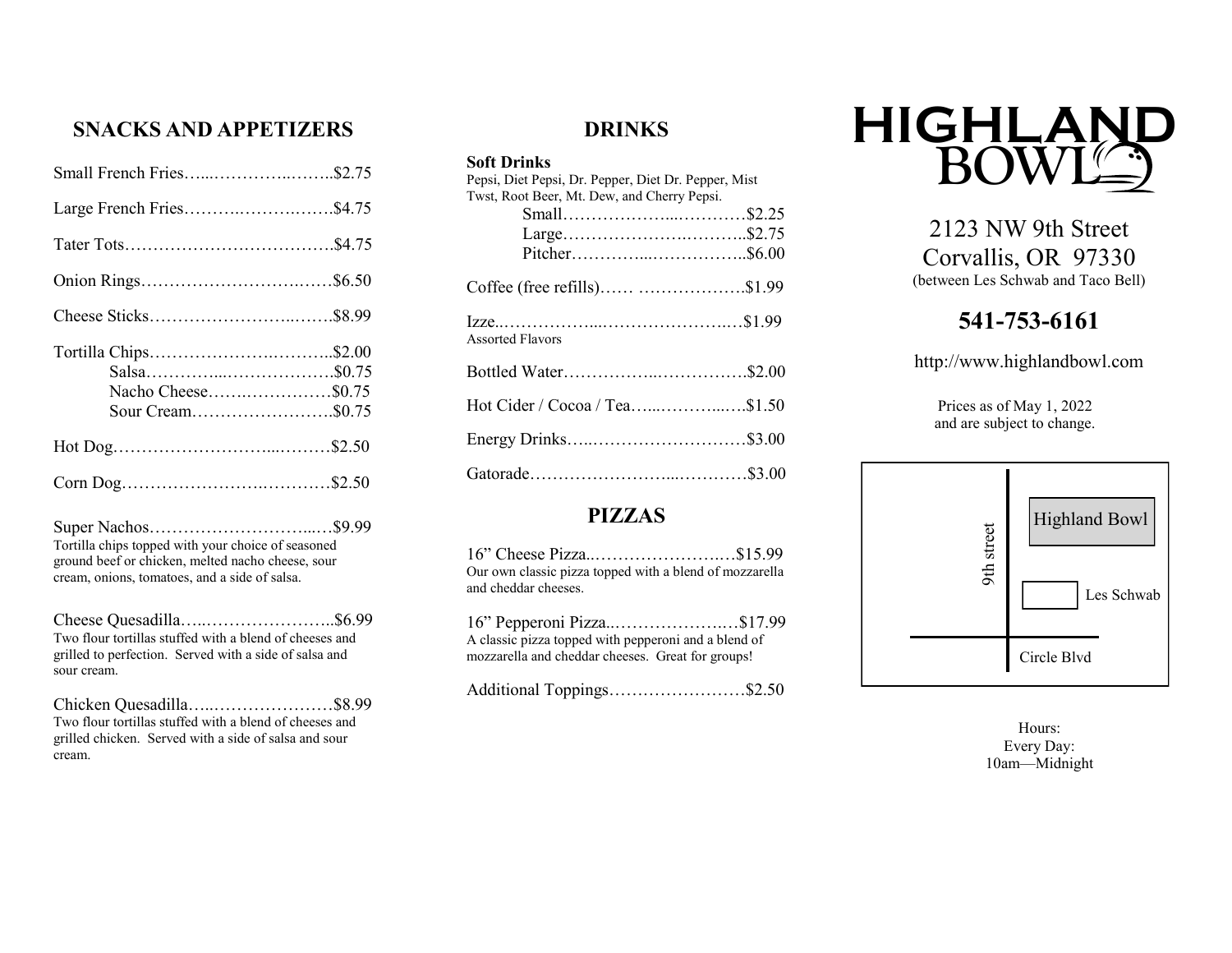## **SNACKS AND APPETIZERS**

| Small French Fries\$2.75                                       |
|----------------------------------------------------------------|
| Large French Fries\$4.75                                       |
|                                                                |
|                                                                |
|                                                                |
| Tortilla Chips\$2.00<br>Nacho Cheese\$0.75<br>Sour Cream\$0.75 |
|                                                                |
|                                                                |

Super Nachos………………………...…\$9.99 Tortilla chips topped with your choice of seasoned ground beef or chicken, melted nacho cheese, sour cream, onions, tomatoes, and a side of salsa.

Cheese Quesadilla…..…………………..\$6.99 Two flour tortillas stuffed with a blend of cheeses and grilled to perfection. Served with a side of salsa and sour cream.

Chicken Quesadilla…..…………………\$8.99 Two flour tortillas stuffed with a blend of cheeses and grilled chicken. Served with a side of salsa and sour cream.

## **DRINKS**

#### **Soft Drinks**

| Pepsi, Diet Pepsi, Dr. Pepper, Diet Dr. Pepper, Mist |  |
|------------------------------------------------------|--|
| Twst, Root Beer, Mt. Dew, and Cherry Pepsi.          |  |
|                                                      |  |
|                                                      |  |
|                                                      |  |
| Coffee (free refills) \$1.99                         |  |
| <b>Assorted Flavors</b>                              |  |
|                                                      |  |
| Hot Cider / Cocoa / Tea\$1.50                        |  |
| Energy Drinks\$3.00                                  |  |
|                                                      |  |

## **PIZZAS**

| 16" Cheese Pizza\$15.99                                 |  |
|---------------------------------------------------------|--|
| Our own classic pizza topped with a blend of mozzarella |  |
| and cheddar cheeses.                                    |  |

| 16" Pepperoni Pizza\$17.99                           |  |
|------------------------------------------------------|--|
| A classic pizza topped with pepperoni and a blend of |  |
| mozzarella and cheddar cheeses. Great for groups!    |  |

Additional Toppings……………………\$2.50



2123 NW 9th Street Corvallis, OR 97330 (between Les Schwab and Taco Bell)

# **541-753-6161**

http://www.highlandbowl.com

Prices as of May 1, 2022 and are subject to change.



Hours: Every Day: 10am—Midnight